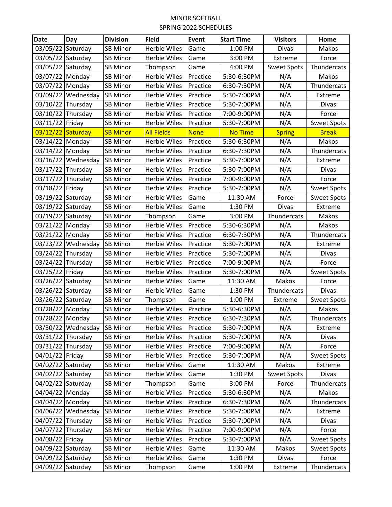## MINOR SOFTBALL SPRING 2022 SCHEDULES

| <b>Date</b>       | Day                | <b>Division</b> | <b>Field</b>        | Event    | <b>Start Time</b> | <b>Visitors</b>    | Home               |
|-------------------|--------------------|-----------------|---------------------|----------|-------------------|--------------------|--------------------|
| 03/05/22 Saturday |                    | <b>SB Minor</b> | Herbie Wiles        | Game     | 1:00 PM           | Divas              | Makos              |
| 03/05/22 Saturday |                    | <b>SB Minor</b> | Herbie Wiles        | Game     | 3:00 PM           | Extreme            | Force              |
| 03/05/22 Saturday |                    | <b>SB Minor</b> | Thompson            | Game     | 4:00 PM           | <b>Sweet Spots</b> | Thundercats        |
| 03/07/22 Monday   |                    | <b>SB Minor</b> | Herbie Wiles        | Practice | 5:30-6:30PM       | N/A                | Makos              |
| 03/07/22 Monday   |                    | <b>SB Minor</b> | Herbie Wiles        | Practice | 6:30-7:30PM       | N/A                | Thundercats        |
|                   | 03/09/22 Wednesday | <b>SB Minor</b> | Herbie Wiles        | Practice | 5:30-7:00PM       | N/A                | Extreme            |
| 03/10/22 Thursday |                    | <b>SB Minor</b> | <b>Herbie Wiles</b> | Practice | 5:30-7:00PM       | N/A                | Divas              |
| 03/10/22 Thursday |                    | <b>SB Minor</b> | <b>Herbie Wiles</b> | Practice | 7:00-9:00PM       | N/A                | Force              |
| 03/11/22 Friday   |                    | <b>SB Minor</b> | <b>Herbie Wiles</b> | Practice | 5:30-7:00PM       | N/A                | <b>Sweet Spots</b> |
| 03/12/22 Saturday |                    | <b>SB Minor</b> | <b>All Fields</b>   | None     | No Time           | <b>Spring</b>      | <b>Break</b>       |
| 03/14/22 Monday   |                    | <b>SB Minor</b> | Herbie Wiles        | Practice | 5:30-6:30PM       | N/A                | Makos              |
| 03/14/22 Monday   |                    | <b>SB Minor</b> | Herbie Wiles        | Practice | 6:30-7:30PM       | N/A                | Thundercats        |
|                   | 03/16/22 Wednesday | <b>SB Minor</b> | Herbie Wiles        | Practice | 5:30-7:00PM       | N/A                | Extreme            |
| 03/17/22 Thursday |                    | <b>SB Minor</b> | Herbie Wiles        | Practice | 5:30-7:00PM       | N/A                | Divas              |
| 03/17/22 Thursday |                    | <b>SB Minor</b> | <b>Herbie Wiles</b> | Practice | 7:00-9:00PM       | N/A                | Force              |
| 03/18/22 Friday   |                    | <b>SB Minor</b> | Herbie Wiles        | Practice | 5:30-7:00PM       | N/A                | <b>Sweet Spots</b> |
| 03/19/22 Saturday |                    | <b>SB Minor</b> | <b>Herbie Wiles</b> | Game     | 11:30 AM          | Force              | <b>Sweet Spots</b> |
| 03/19/22 Saturday |                    | <b>SB Minor</b> | <b>Herbie Wiles</b> | Game     | 1:30 PM           | Divas              | Extreme            |
| 03/19/22 Saturday |                    | <b>SB Minor</b> | Thompson            | Game     | 3:00 PM           | Thundercats        | Makos              |
| 03/21/22 Monday   |                    | <b>SB Minor</b> | Herbie Wiles        | Practice | 5:30-6:30PM       | N/A                | Makos              |
| 03/21/22 Monday   |                    | <b>SB Minor</b> | Herbie Wiles        | Practice | 6:30-7:30PM       | N/A                | Thundercats        |
|                   | 03/23/22 Wednesday | <b>SB Minor</b> | <b>Herbie Wiles</b> | Practice | 5:30-7:00PM       | N/A                | Extreme            |
| 03/24/22 Thursday |                    | <b>SB Minor</b> | Herbie Wiles        | Practice | 5:30-7:00PM       | N/A                | Divas              |
| 03/24/22 Thursday |                    | <b>SB Minor</b> | <b>Herbie Wiles</b> | Practice | 7:00-9:00PM       | N/A                | Force              |
| 03/25/22 Friday   |                    | <b>SB Minor</b> | <b>Herbie Wiles</b> | Practice | 5:30-7:00PM       | N/A                | <b>Sweet Spots</b> |
| 03/26/22 Saturday |                    | <b>SB Minor</b> | Herbie Wiles        | Game     | 11:30 AM          | Makos              | Force              |
| 03/26/22 Saturday |                    | <b>SB Minor</b> | Herbie Wiles        | Game     | 1:30 PM           | Thundercats        | Divas              |
| 03/26/22 Saturday |                    | <b>SB Minor</b> | Thompson            | Game     | 1:00 PM           | Extreme            | <b>Sweet Spots</b> |
| 03/28/22 Monday   |                    | <b>SB Minor</b> | <b>Herbie Wiles</b> | Practice | 5:30-6:30PM       | N/A                | Makos              |
| 03/28/22 Monday   |                    | <b>SB Minor</b> | Herbie Wiles        | Practice | 6:30-7:30PM       | N/A                | Thundercats        |
|                   | 03/30/22 Wednesday | <b>SB Minor</b> | <b>Herbie Wiles</b> | Practice | 5:30-7:00PM       | N/A                | Extreme            |
| 03/31/22 Thursday |                    | <b>SB Minor</b> | Herbie Wiles        | Practice | 5:30-7:00PM       | N/A                | <b>Divas</b>       |
| 03/31/22 Thursday |                    | <b>SB Minor</b> | Herbie Wiles        | Practice | 7:00-9:00PM       | N/A                | Force              |
| 04/01/22 Friday   |                    | <b>SB Minor</b> | <b>Herbie Wiles</b> | Practice | 5:30-7:00PM       | N/A                | <b>Sweet Spots</b> |
| 04/02/22 Saturday |                    | <b>SB Minor</b> | Herbie Wiles        | Game     | 11:30 AM          | Makos              | Extreme            |
| 04/02/22 Saturday |                    | <b>SB Minor</b> | Herbie Wiles        | Game     | 1:30 PM           | <b>Sweet Spots</b> | Divas              |
| 04/02/22 Saturday |                    | <b>SB Minor</b> | Thompson            | Game     | 3:00 PM           | Force              | Thundercats        |
| 04/04/22 Monday   |                    | <b>SB Minor</b> | <b>Herbie Wiles</b> | Practice | 5:30-6:30PM       | N/A                | Makos              |
| 04/04/22 Monday   |                    | <b>SB Minor</b> | Herbie Wiles        | Practice | 6:30-7:30PM       | N/A                | Thundercats        |
|                   | 04/06/22 Wednesday | <b>SB Minor</b> | Herbie Wiles        | Practice | 5:30-7:00PM       | N/A                | Extreme            |
| 04/07/22 Thursday |                    | <b>SB Minor</b> | Herbie Wiles        | Practice | 5:30-7:00PM       | N/A                | Divas              |
| 04/07/22 Thursday |                    | <b>SB Minor</b> | Herbie Wiles        | Practice | 7:00-9:00PM       | N/A                | Force              |
| 04/08/22 Friday   |                    | <b>SB Minor</b> | Herbie Wiles        | Practice | 5:30-7:00PM       | N/A                | <b>Sweet Spots</b> |
| 04/09/22 Saturday |                    | <b>SB Minor</b> | <b>Herbie Wiles</b> | Game     | 11:30 AM          | Makos              | <b>Sweet Spots</b> |
| 04/09/22 Saturday |                    | <b>SB Minor</b> | Herbie Wiles        | Game     | 1:30 PM           | Divas              | Force              |
| 04/09/22 Saturday |                    | <b>SB Minor</b> | Thompson            | Game     | 1:00 PM           | Extreme            | Thundercats        |